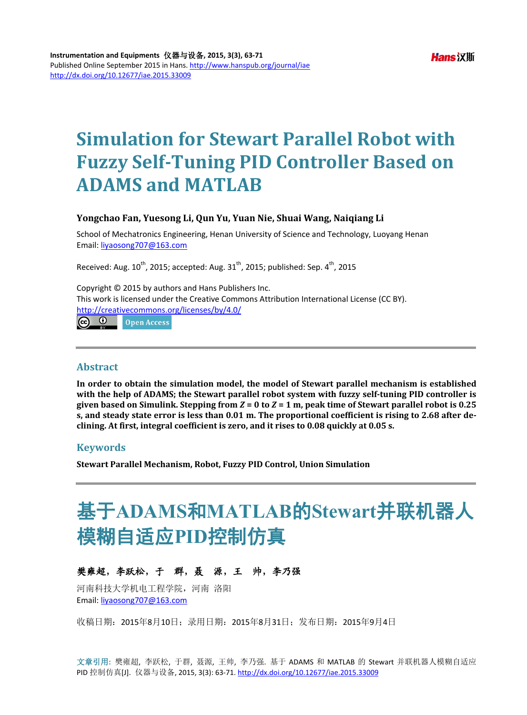## **Simulation for Stewart Parallel Robot with Fuzzy Self-Tuning PID Controller Based on ADAMS and MATLAB**

#### **Yongchao Fan, Yuesong Li, Qun Yu, Yuan Nie, Shuai Wang, Naiqiang Li**

School of Mechatronics Engineering, Henan University of Science and Technology, Luoyang Henan Email: [liyaosong707@163.com](mailto:liyaosong707@163.com)

Received: Aug.  $10^{th}$ , 2015; accepted: Aug.  $31^{th}$ , 2015; published: Sep.  $4^{th}$ , 2015

Copyright © 2015 by authors and Hans Publishers Inc. This work is licensed under the Creative Commons Attribution International License (CC BY). <http://creativecommons.org/licenses/by/4.0/>

**രെ** 0 Open Access

#### **Abstract**

**In order to obtain the simulation model, the model of Stewart parallel mechanism is established with the help of ADAMS; the Stewart parallel robot system with fuzzy self-tuning PID controller is given based on Simulink. Stepping from** *Z* **= 0 to** *Z* **= 1 m, peak time of Stewart parallel robot is 0.25 s, and steady state error is less than 0.01 m. The proportional coefficient is rising to 2.68 after declining. At first, integral coefficient is zero, and it rises to 0.08 quickly at 0.05 s.**

## **Keywords**

**Stewart Parallel Mechanism, Robot, Fuzzy PID Control, Union Simulation**

# 基于**ADAMS**和**MATLAB**的**Stewart**并联机器人 模糊自适应**PID**控制仿真

## 樊雍超,李跃松,于群,聂源,王帅,李乃强

河南科技大学机电工程学院,河南 洛阳 Email: [liyaosong707@163.com](mailto:liyaosong707@163.com)

收稿日期:2015年8月10日;录用日期:2015年8月31日;发布日期:2015年9月4日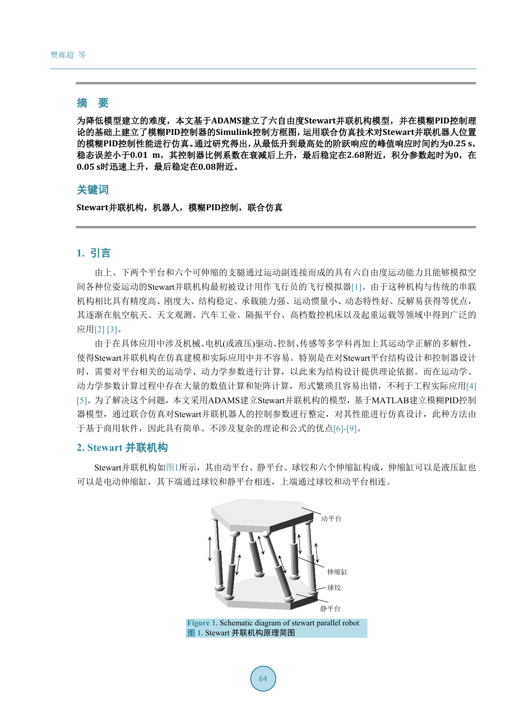## 摘 要

为降低模型建立的难度,本文基于**ADAMS**建立了六自由度**Stewart**并联机构模型,并在模糊**PID**控制理 论的基础上建立了模糊**PID**控制器的**Simulink**控制方框图,运用联合仿真技术对**Stewart**并联机器人位置 的模糊**PID**控制性能进行仿真。通过研究得出,从最低升到最高处的阶跃响应的峰值响应时间约为**0.25 s**, 稳态误差小于**0.01 m**,其控制器比例系数在衰减后上升,最后稳定在**2.68**附近,积分参数起时为**0**,在 **0.05 s**时迅速上升,最后稳定在**0.08**附近。

#### 关键词

**Stewart**并联机构,机器人,模糊**PID**控制,联合仿真

## **1.** 引言

由上、下两个平台和六个可伸缩的支腿通过运动副连接而成的具有六自由度运动能力且能够模拟空 间各种位姿运动的Stewart并联机构最初被设计用作飞行员的飞行模拟器[\[1\]](#page-7-0)。由于这种机构与传统的串联 机构相比具有精度高、刚度大、结构稳定、承载能力强、运动惯量小、动态特性好、反解易获得等优点, 其逐渐在航空航天、天文观测、汽车工业、隔振平台、高档数控机床以及起重运载等领域中得到广泛的 应用[\[2\]](#page-7-1) [\[3\]](#page-7-2)。

由于在具体应用中涉及机械、电机(或液压)驱动、控制、传感等多学科再加上其运动学正解的多解性, 使得Stewart并联机构在仿真建模和实际应用中并不容易。特别是在对Stewart平台结构设计和控制器设计 时,需要对平台相关的运动学、动力学参数进行计算,以此来为结构设计提供理论依据。而在运动学、 动力学参数计算过程中存在大量的数值计算和矩阵计算,形式繁琐且容易出错,不利于工程实际应用[\[4\]](#page-7-3) [\[5\]](#page-7-4)。为了解决这个问题,本文采用ADAMS建立Stewart并联机构的模型,基于MATLAB建立模糊PID控制 器模型,通过联合仿真对Stewart并联机器人的控制参数进行整定,对其性能进行仿真设计,此种方法由 于基于商用软件,因此具有简单、不涉及复杂的理论和公式的优点[\[6\]-](#page-7-5)[\[9\]](#page-7-6)。

#### **2. Stewart** 并联机构

<span id="page-1-0"></span>Stewart并联机构[如图](#page-1-0)1所示,其由动平台、静平台、球铰和六个伸缩缸构成,伸缩缸可以是液压缸也 可以是电动伸缩缸,其下端通过球铰和静平台相连,上端通过球铰和动平台相连。



**Figure 1.** Schematic diagram of stewart parallel robot 图 **1.** Stewart 并联机构原理简图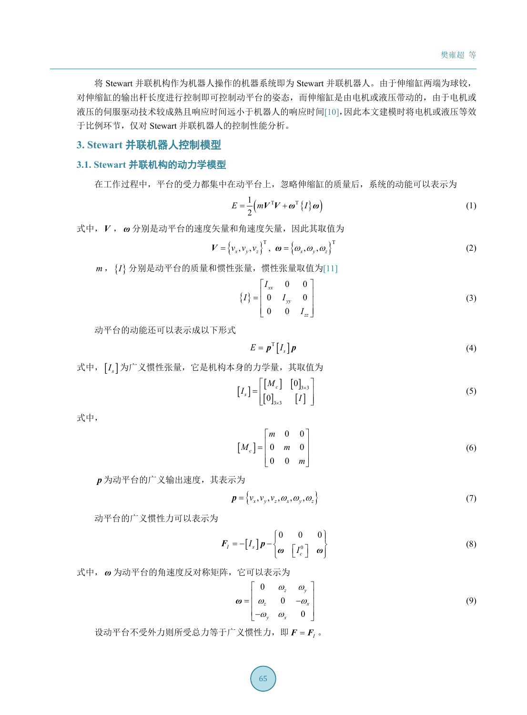将 Stewart 并联机构作为机器人操作的机器系统即为 Stewart 并联机器人。由于伸缩缸两端为球铰, 对伸缩缸的输出杆长度进行控制即可控制动平台的姿态,而伸缩缸是由电机或液压带动的,由于电机或 液压的伺服驱动技术较成熟且响应时间远小于机器人的响应时间[\[10\]](#page-7-7),因此本文建模时将电机或液压等效 于比例环节,仅对 Stewart 并联机器人的控制性能分析。

## **3. Stewart** 并联机器人控制模型

## **3.1. Stewart** 并联机构的动力学模型

在工作过程中,平台的受力都集中在动平台上,忽略伸缩缸的质量后,系统的动能可以表示为

$$
E = \frac{1}{2} \left( m V^{\mathrm{T}} V + \boldsymbol{\omega}^{\mathrm{T}} \left\{ I \right\} \boldsymbol{\omega} \right)
$$
 (1)

式中,*V* , *ω* 分别是动平台的速度矢量和角速度矢量,因此其取值为

$$
V = \left\{ v_x, v_y, v_z \right\}^{\mathrm{T}}, \quad \boldsymbol{\omega} = \left\{ \boldsymbol{\omega}_x, \boldsymbol{\omega}_y, \boldsymbol{\omega}_z \right\}^{\mathrm{T}}
$$
 (2)

*m* ,{*I*} 分别是动平台的质量和惯性张量,惯性张量取值为[\[11\]](#page-8-0)

$$
\{I\} = \begin{bmatrix} I_{xx} & 0 & 0 \\ 0 & I_{yy} & 0 \\ 0 & 0 & I_{zz} \end{bmatrix}
$$
 (3)

动平台的动能还可以表示成以下形式

$$
E = \boldsymbol{p}^{\mathrm{T}} \left[ I_{s} \right] \boldsymbol{p} \tag{4}
$$

式中,  $[I_s]$ 为广义惯性张量, 它是机构本身的力学量, 其取值为

$$
\begin{bmatrix} I_s \end{bmatrix} = \begin{bmatrix} \begin{bmatrix} M_c \end{bmatrix} & \begin{bmatrix} 0 \end{bmatrix}_{3 \times 3} \\ \begin{bmatrix} 0 \end{bmatrix}_{3 \times 3} & \begin{bmatrix} I \end{bmatrix} \end{bmatrix} \tag{5}
$$

式中,

$$
\begin{bmatrix} M_c \end{bmatrix} = \begin{bmatrix} m & 0 & 0 \\ 0 & m & 0 \\ 0 & 0 & m \end{bmatrix}
$$
 (6)

*p* 为动平台的广义输出速度,其表示为

$$
\boldsymbol{p} = \{v_x, v_y, v_z, \omega_x, \omega_y, \omega_z\}
$$
\n(7)

动平台的广义惯性力可以表示为

$$
\boldsymbol{F}_I = -\begin{bmatrix} I_s \end{bmatrix} \boldsymbol{p} - \begin{bmatrix} 0 & 0 & 0 \\ \boldsymbol{\omega} & \begin{bmatrix} I_c^0 \end{bmatrix} & \boldsymbol{\omega} \end{bmatrix}
$$
\n(8)

式中, *ω* 为动平台的角速度反对称矩阵,它可以表示为

$$
\boldsymbol{\omega} = \begin{bmatrix} 0 & \omega_z & \omega_y \\ \omega_z & 0 & -\omega_x \\ -\omega_y & \omega_x & 0 \end{bmatrix}
$$
 (9)

设动平台不受外力则所受总力等于广义惯性力, 即  $F = F_i$ 。

65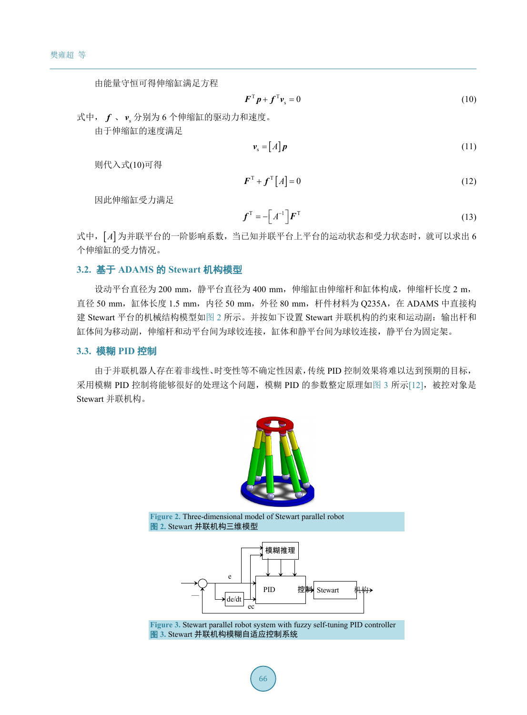由能量守恒可得伸缩缸满足方程

$$
\boldsymbol{F}^{\mathrm{T}} \boldsymbol{p} + \boldsymbol{f}^{\mathrm{T}} \boldsymbol{v}_{\mathrm{s}} = 0 \tag{10}
$$

式中, f、v 分别为 6 个伸缩缸的驱动力和速度。

由于伸缩缸的速度满足

$$
\mathbf{v}_{\rm s} = [A]\mathbf{p} \tag{11}
$$

则代入式(10)可得

$$
\boldsymbol{F}^{\mathrm{T}} + \boldsymbol{f}^{\mathrm{T}} \left[ A \right] = 0 \tag{12}
$$

因此伸缩缸受力满足

$$
\boldsymbol{f}^{\mathrm{T}} = -\left[A^{-1}\right]\boldsymbol{F}^{\mathrm{T}}\tag{13}
$$

式中,[*A*] 为并联平台的一阶影响系数,当已知并联平台上平台的运动状态和受力状态时,就可以求出 6 个伸缩缸的受力情况。

## **3.2.** 基于 **ADAMS** 的 **Stewart** 机构模型

设动平台直径为 200 mm, 静平台直径为 400 mm, 伸缩缸由伸缩杆和缸体构成,伸缩杆长度 2 m, 直径 50 mm,缸体长度 1.5 mm,内径 50 mm,外径 80 mm,杆件材料为 Q235A,在 ADAMS 中直接构 建 Stewart 平台的机械结构模型[如图](#page-3-0) 2 所示。并按如下设置 Stewart 并联机构的约束和运动副: 输出杆和 缸体间为移动副,伸缩杆和动平台间为球铰连接,缸体和静平台间为球铰连接,静平台为固定架。

#### **3.3.** 模糊 **PID** 控制

<span id="page-3-0"></span>由于并联机器人存在着非线性、时变性等不确定性因素,传统 PID 控制效果将难以达到预期的目标, 采用模糊 PID 控制将能够很好的处理这个问题,模糊 PID 的参数整定原理[如图](#page-3-1) 3 所示[\[12\]](#page-8-1), 被控对象是 Stewart 并联机构。



<span id="page-3-1"></span>**Figure 2.** [Three-dimensional](javascript:void(0);) [model](javascript:void(0);) of Stewart parallel robot 图 **2.** Stewart 并联机构三维模型



**Figure 3.** Stewart parallel robot system with fuzzy self-tuning PID controller 图 **3.** Stewart 并联机构模糊自适应控制系统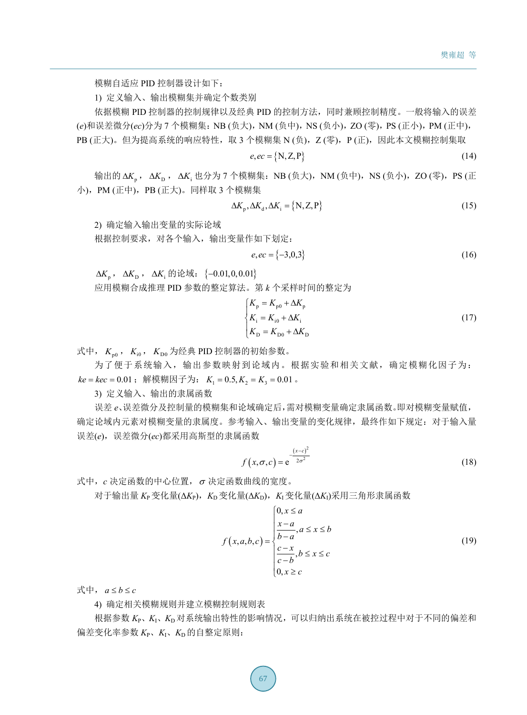模糊自适应 PID 控制器设计如下:

1) 定义输入、输出模糊集并确定个数类别

依据模糊 PID 控制器的控制规律以及经典 PID 的控制方法,同时兼顾控制精度。一般将输入的误差 (e)和误差微分(ec)分为 7 个模糊集: NB (负大), NM (负中), NS (负小), ZO (零), PS (正小), PM (正中), PB (正大)。但为提高系统的响应特性,取 3 个模糊集 N (负), Z (零), P (正), 因此本文模糊控制集取

$$
e, ec = \{N, Z, P\} \tag{14}
$$

输出的 Δ*K*<sub>p</sub>, Δ*K*<sub>i</sub> , Δ*K*<sub>i</sub> 也分为 7 个模糊集: NB (负大), NM (负中), NS (负小), ZO (零), PS (正 小),PM (正中),PB (正大)。同样取 3 个模糊集

$$
\Delta K_{\text{p}}, \Delta K_{\text{d}}, \Delta K_{\text{i}} = \{ \text{N}, \text{Z}, \text{P} \} \tag{15}
$$

2) 确定输入输出变量的实际论域

根据控制要求,对各个输入,输出变量作如下划定:

$$
e, ec = \{-3, 0, 3\} \tag{16}
$$

 $\Delta K_n$ ,  $\Delta K_n$ ,  $\Delta K_i$  的论域: {−0.01,0,0.01}

应用模糊合成推理 PID 参数的整定算法。第 *k* 个采样时间的整定为

$$
\begin{cases}\nK_{\rm p} = K_{\rm p0} + \Delta K_{\rm p} \\
K_{\rm i} = K_{\rm i0} + \Delta K_{\rm i} \\
K_{\rm D} = K_{\rm D0} + \Delta K_{\rm D}\n\end{cases} (17)
$$

式中,  $K_{\text{no}}$ ,  $K_{\text{io}}$ ,  $K_{\text{Do}}$ 为经典 PID 控制器的初始参数。

为了便于系统输入,输出参数映射到论域内。根据实验和相关文献,确定模糊化因子为:  $ke = kec = 0.01$ ; 解模糊因子为:  $K_1 = 0.5, K_2 = K_3 = 0.01$ 。

3) 定义输入、输出的隶属函数

误差 *e*、误差微分及控制量的模糊集和论域确定后,需对模糊变量确定隶属函数。即对模糊变量赋值, 确定论域内元素对模糊变量的隶属度。参考输入、输出变量的变化规律,最终作如下规定:对于输入量 误差(*e*),误差微分(*ec*)都采用高斯型的隶属函数

$$
f(x, \sigma, c) = e^{-\frac{(x-c)^2}{2\sigma^2}}
$$
\n(18)

式中,*c* 决定函数的中心位置,<sup>σ</sup> 决定函数曲线的宽度。

 $\pi$ 于输出量 *K*<sub>P</sub>变化量( $\Delta K$ <sub>P</sub>), *K*<sub>D</sub>变化量( $\Delta K$ <sub>D</sub>), *K*<sub>I</sub>变化量( $\Delta K$ <sub>I</sub>)采用三角形隶属函数

$$
f(x, a, b, c) = \begin{cases} 0, x \le a \\ \frac{x-a}{b-a}, a \le x \le b \\ \frac{c-x}{c-b}, b \le x \le c \\ 0, x \ge c \end{cases}
$$
(19)

式中,  $a \le b \le c$ 

4) 确定相关模糊规则并建立模糊控制规则表

根据参数 *K*P、*K*I、*K*D对系统输出特性的影响情况,可以归纳出系统在被控过程中对于不同的偏差和  $m_{\tilde{z}}$ 变化率参数  $K_{P}$ ,  $K_{I}$ ,  $K_{D}$ 的自整定原则: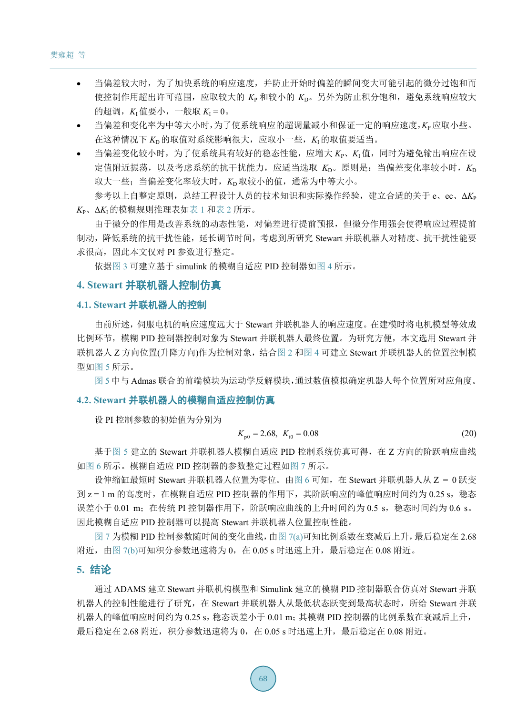- 当偏差较大时,为了加快系统的响应速度,并防止开始时偏差的瞬间变大可能引起的微分过饱和而 使控制作用超出许可范围,应取较大的 *K*<sup>P</sup> 和较小的 *K*D。另外为防止积分饱和,避免系统响应较大 的超调, $K_I$ 值要小,一般取 $K_I = 0$ 。
- 当偏差和变化率为中等大小时,为了使系统响应的超调量减小和保证一定的响应速度,*K*P应取小些。 在这种情况下 *K*D的取值对系统影响很大,应取小一些,*K*I的取值要适当。
- 当偏差变化较小时,为了使系统具有较好的稳态性能,应增大 Kp、KI值,同时为避免输出响应在设 定值附近振荡,以及考虑系统的抗干扰能力,应适当选取 *K*D。原则是:当偏差变化率较小时,*K*<sup>D</sup> 取大一些; 当偏差变化率较大时, K<sub>D</sub>取较小的值, 通常为中等大小。 参考以上自整定原则,总结工程设计人员的技术知识和实际操作经验,建立合适的关于 e、ec、Δ*K*<sup>P</sup>

*K*P、Δ*K*I的模糊规则推理表[如表](#page-6-0) 1 [和表](#page-6-1) 2 所示。

由于微分的作用是改善系统的动态性能,对偏差进行提前预报,但微分作用强会使得响应过程提前 制动,降低系统的抗干扰性能,延长调节时间,考虑到所研究 Stewart 并联机器人对精度、抗干扰性能要 求很高, 因此本文仅对 PI 参数进行整定。

依[据图](#page-3-1) 3 可建立基于 simulink 的模糊自适应 PID 控制器[如图](#page-6-2) 4 所示。

#### **4. Stewart** 并联机器人控制仿真

## **4.1. Stewart** 并联机器人的控制

由前所述,伺服电机的响应速度远大于 Stewart 并联机器人的响应速度。在建模时将电机模型等效成 比例环节,模糊 PID 控制器控制对象为 Stewart 并联机器人最终位置。为研究方便,本文选用 Stewart 并 联机器人 Z 方向位置(升降方向)作为控制对象,结[合图](#page-3-0) 2 [和图](#page-6-2) 4 可建立 Stewart 并联机器人的位置控制模 型[如图](#page-6-3) 5 所示。

[图](#page-6-3) 5 中与 Admas 联合的前端模块为运动学反解模块,通过数值模拟确定机器人每个位置所对应角度。

#### **4.2. Stewart** 并联机器人的模糊自适应控制仿真

设 PI 控制参数的初始值为分别为

$$
K_{\text{p0}} = 2.68, \ K_{\text{i0}} = 0.08 \tag{20}
$$

基[于图](#page-6-3) 5 建立的 Stewart 并联机器人模糊自适应 PID 控制系统仿真可得,在 Z 方向的阶跃响应曲线 [如图](#page-7-8) 6 所示。模糊自适应 PID 控制器的参数整定过程[如图](#page-7-9) 7 所示。

设伸缩缸最短时 Stewart 并联机器人位置为零位。[由图](#page-7-8) 6 可知, 在 Stewart 并联机器人从 Z = 0 跃变 到 z = 1 m 的高度时,在模糊自适应 PID 控制器的作用下,其阶跃响应的峰值响应时间约为 0.25 s,稳态 误差小于 0.01 m; 在传统 PI 控制器作用下, 阶跃响应曲线的上升时间约为 0.5 s, 稳态时间约为 0.6 s。 因此模糊自适应 PID 控制器可以提高 Stewart 并联机器人位置控制性能。

[图](#page-7-9) 7 为模糊 PID 控制参数随时间的变化曲线,由图 [7\(a\)](#page-7-9)可知比例系数在衰减后上升,最后稳定在 2.68 附近, 由图 [7\(b\)](#page-7-9)可知积分参数迅速将为 0, 在 0.05 s 时迅速上升, 最后稳定在 0.08 附近。

#### **5.** 结论

通过 ADAMS 建立 Stewart 并联机构模型和 Simulink 建立的模糊 PID 控制器联合仿真对 Stewart 并联 机器人的控制性能进行了研究, 在 Stewart 并联机器人从最低状态跃变到最高状态时, 所给 Stewart 并联 机器人的峰值响应时间约为 0.25 s, 稳态误差小于 0.01 m; 其模糊 PID 控制器的比例系数在衰减后上升, 最后稳定在 2.68 附近,积分参数迅速将为 0,在 0.05 s 时迅速上升,最后稳定在 0.08 附近。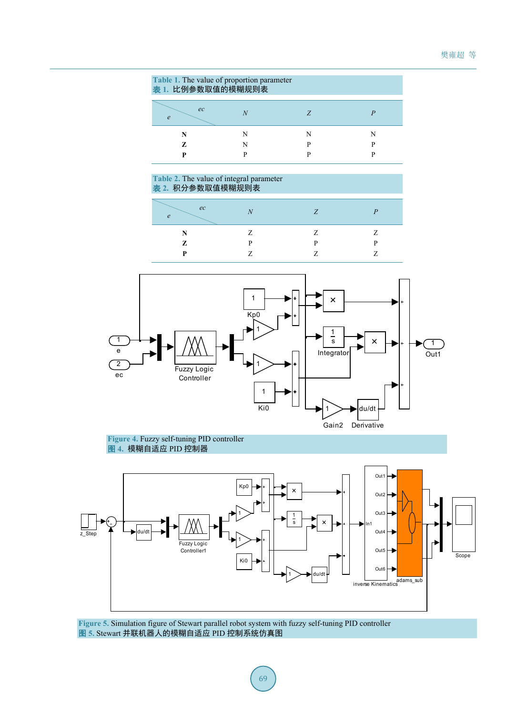<span id="page-6-0"></span>

| Table 1. The value of proportion parameter<br>表 1. 比例参数取值的模糊规则表 |  |  |   |  |  |
|-----------------------------------------------------------------|--|--|---|--|--|
| ec<br>$\epsilon$                                                |  |  |   |  |  |
|                                                                 |  |  | N |  |  |
| Z.                                                              |  |  | p |  |  |
|                                                                 |  |  |   |  |  |

#### <span id="page-6-1"></span>**Table 2.** The value of integral parameter 表 **2.** 积分参数取值模糊规则表

| ec<br>$\boldsymbol{\rho}$ | $\lambda$ <sub>I</sub> | 7 |   |
|---------------------------|------------------------|---|---|
| N                         | 7                      | 7 | 7 |
| Z                         | D                      | D | D |
| P                         |                        |   | - |

<span id="page-6-2"></span>

#### **Figure 4.** Fuzzy self-tuning PID controller 图 **4.** 模糊自适应 PID 控制器

<span id="page-6-3"></span>

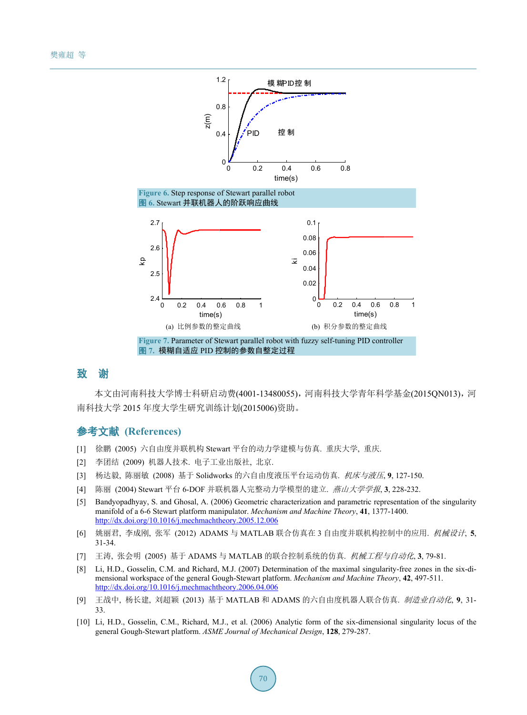<span id="page-7-8"></span>

## <span id="page-7-9"></span>致 **谢**

本文由河南科技大学博士科研启动费(4001-13480055),河南科技大学青年科学基金(2015QN013),河 南科技大学 2015 年度大学生研究训练计划(2015006)资助。

## 参考文献 **(References)**

- <span id="page-7-0"></span>[1] 徐鹏 (2005) 六自由度并联机构 Stewart 平台的动力学建模与仿真. 重庆大学, 重庆.
- <span id="page-7-1"></span>[2] 李团结 (2009) 机器人技术. 电子工业出版社, 北京.
- <span id="page-7-2"></span>[3] 杨达毅, 陈丽敏 (2008) 基于 Solidworks 的六自由度液压平台运动仿真. 机床与液压, **9**, 127-150.
- <span id="page-7-3"></span>[4] 陈丽 (2004) Stewart 平台 6-DOF 并联机器人完整动力学模型的建立. 燕山大学学报, **3**, 228-232.
- <span id="page-7-4"></span>[5] Bandyopadhyay, S. and Ghosal, A. (2006) Geometric characterization and parametric representation of the singularity manifold of a 6-6 Stewart platform manipulator. *Mechanism and Machine Theory*, **41**, 1377-1400. <http://dx.doi.org/10.1016/j.mechmachtheory.2005.12.006>
- <span id="page-7-5"></span>[6] 姚丽君, 李成刚, 张军 (2012) ADAMS 与 MATLAB 联合仿真在 3 自由度并联机构控制中的应用. 机械设计, **5**, 31-34.
- [7] 王涛, 张会明 (2005) 基于 ADAMS 与 MATLAB 的联合控制系统的仿真. 机械工程与自动化, **3**, 79-81.
- [8] Li, H.D., Gosselin, C.M. and Richard, M.J. (2007) Determination of the maximal singularity-free zones in the six-dimensional workspace of the general Gough-Stewart platform. *Mechanism and Machine Theory*, **42**, 497-511. <http://dx.doi.org/10.1016/j.mechmachtheory.2006.04.006>
- <span id="page-7-6"></span>[9] 王战中, 杨长建, 刘超颖 (2013) 基于 MATLAB 和 ADAMS 的六自由度机器人联合仿真. 制造业自动化, **9**, 31- 33.
- <span id="page-7-7"></span>[10] Li, H.D., Gosselin, C.M., Richard, M.J., et al. (2006) Analytic form of the six-dimensional singularity locus of the general Gough-Stewart platform. *ASME Journal of Mechanical Design*, **128**, 279-287.